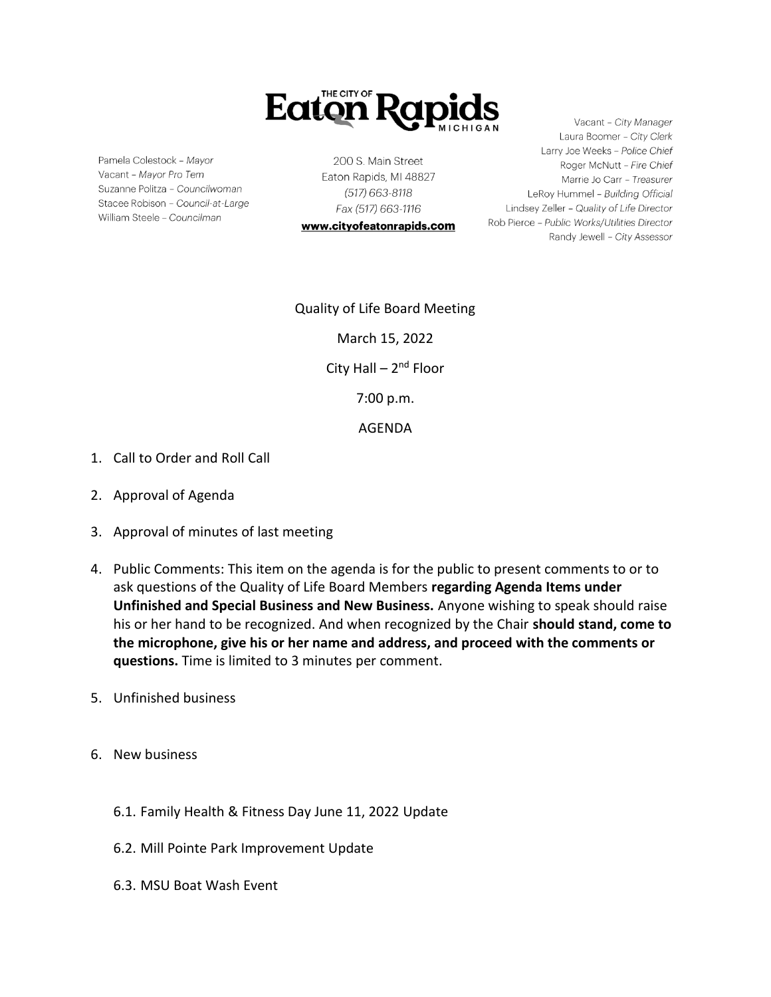

Pamela Colestock - Mayor Vacant - Mayor Pro Tem Suzanne Politza - Councilwoman Stacee Robison - Council-at-Large William Steele - Councilman

200 S. Main Street Eaton Rapids, MI 48827 (517) 663-8118 Fax (517) 663-1116

www.cityofeatonrapids.com

Vacant - City Manager Laura Boomer - City Clerk Larry Joe Weeks - Police Chief Roger McNutt - Fire Chief Marrie Jo Carr - Treasurer LeRoy Hummel - Building Official Lindsey Zeller - Quality of Life Director Rob Pierce - Public Works/Utilities Director Randy Jewell - City Assessor

Quality of Life Board Meeting March 15, 2022 City Hall – 2<sup>nd</sup> Floor 7:00 p.m. AGENDA

- 1. Call to Order and Roll Call
- 2. Approval of Agenda
- 3. Approval of minutes of last meeting
- 4. Public Comments: This item on the agenda is for the public to present comments to or to ask questions of the Quality of Life Board Members **regarding Agenda Items under Unfinished and Special Business and New Business.** Anyone wishing to speak should raise his or her hand to be recognized. And when recognized by the Chair **should stand, come to the microphone, give his or her name and address, and proceed with the comments or questions.** Time is limited to 3 minutes per comment.
- 5. Unfinished business
- 6. New business
	- 6.1. Family Health & Fitness Day June 11, 2022 Update
	- 6.2. Mill Pointe Park Improvement Update
	- 6.3. MSU Boat Wash Event